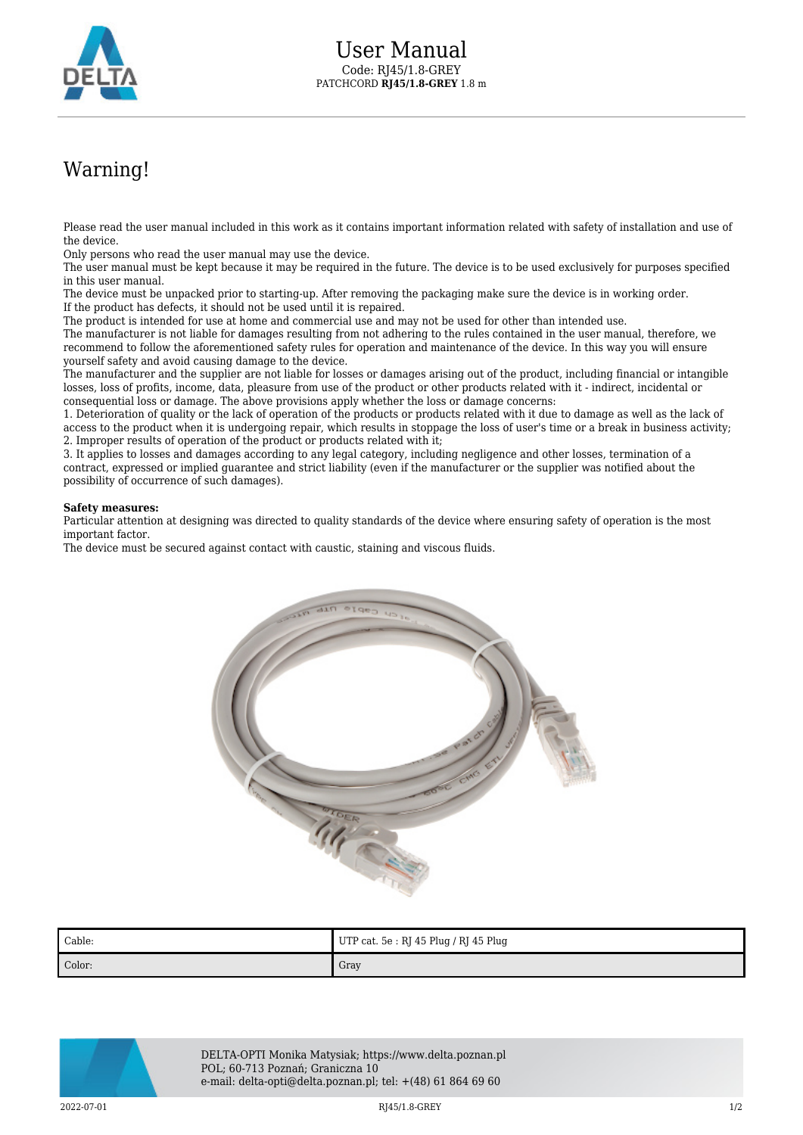

## Warning!

Please read the user manual included in this work as it contains important information related with safety of installation and use of the device.

Only persons who read the user manual may use the device.

The user manual must be kept because it may be required in the future. The device is to be used exclusively for purposes specified in this user manual.

The device must be unpacked prior to starting-up. After removing the packaging make sure the device is in working order. If the product has defects, it should not be used until it is repaired.

The product is intended for use at home and commercial use and may not be used for other than intended use.

The manufacturer is not liable for damages resulting from not adhering to the rules contained in the user manual, therefore, we recommend to follow the aforementioned safety rules for operation and maintenance of the device. In this way you will ensure yourself safety and avoid causing damage to the device.

The manufacturer and the supplier are not liable for losses or damages arising out of the product, including financial or intangible losses, loss of profits, income, data, pleasure from use of the product or other products related with it - indirect, incidental or consequential loss or damage. The above provisions apply whether the loss or damage concerns:

1. Deterioration of quality or the lack of operation of the products or products related with it due to damage as well as the lack of access to the product when it is undergoing repair, which results in stoppage the loss of user's time or a break in business activity; 2. Improper results of operation of the product or products related with it;

3. It applies to losses and damages according to any legal category, including negligence and other losses, termination of a contract, expressed or implied guarantee and strict liability (even if the manufacturer or the supplier was notified about the possibility of occurrence of such damages).

## **Safety measures:**

Particular attention at designing was directed to quality standards of the device where ensuring safety of operation is the most important factor.

The device must be secured against contact with caustic, staining and viscous fluids.



| Cable: | UTP cat. 5e : RJ 45 Plug / RJ 45 Plug |
|--------|---------------------------------------|
| Color: | Gray                                  |



DELTA-OPTI Monika Matysiak; https://www.delta.poznan.pl POL; 60-713 Poznań; Graniczna 10 e-mail: delta-opti@delta.poznan.pl; tel: +(48) 61 864 69 60